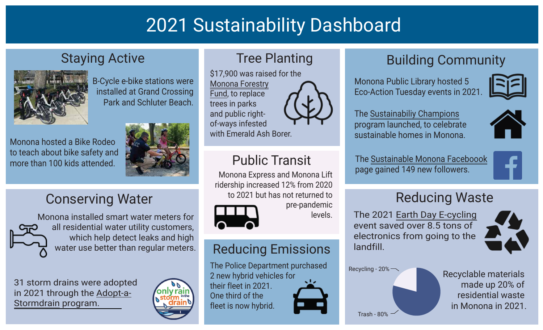# 2021 Sustainability Dashboard

#### Staying Active



B-Cycle e-bike stations were installed at Grand Crossing Park and Schluter Beach.

Monona hosted a Bike Rodeo to teach about bike safety and more than 100 kids attended.



## Conserving Water



Monona installed smart water meters for all residential water utility customers, which help detect leaks and high water use better than regular meters.

31 storm drains were adopted [in 2021 through the Adopt-](https://mymonona.com/1271/Leaf-Management-Adopt-a-Storm-Drain-Prog)a-Stormdrain program.



## Tree Planting

\$17,900 was raised for the [Monona Forestry](https://mymonona.com/1442/Monona-Forestry-Fund) Fund, to replace trees in parks and public rightof-ways infested

with Emerald Ash Borer.

## Public Transit

Monona Express and Monona Lift ridership increased 12% from 2020 to 2021 but has not returned to

pre-pandemic

levels.



## Reducing Emissions

The Police Department purchased 2 new hybrid vehicles for their fleet in 2021. One third of the fleet is now hybrid.

## Building Community

Monona Public Library hosted 5 Eco-Action Tuesday events in 2021.



The [Sustainabiliy Champions](https://mymonona.com/1509/Monona-Sustainability-Champions)  program launched, to celebrate sustainable homes in Monona.



The [Sustainable Monona Faceboook](https://www.facebook.com/SustainableMonona) page gained 149 new followers.



## Reducing Waste

The 2021 [Earth Day E-cycling](https://mymonona.com/1505/Earth-Week) event saved over 8.5 tons of electronics from going to the landfill.



Recycling - 20%